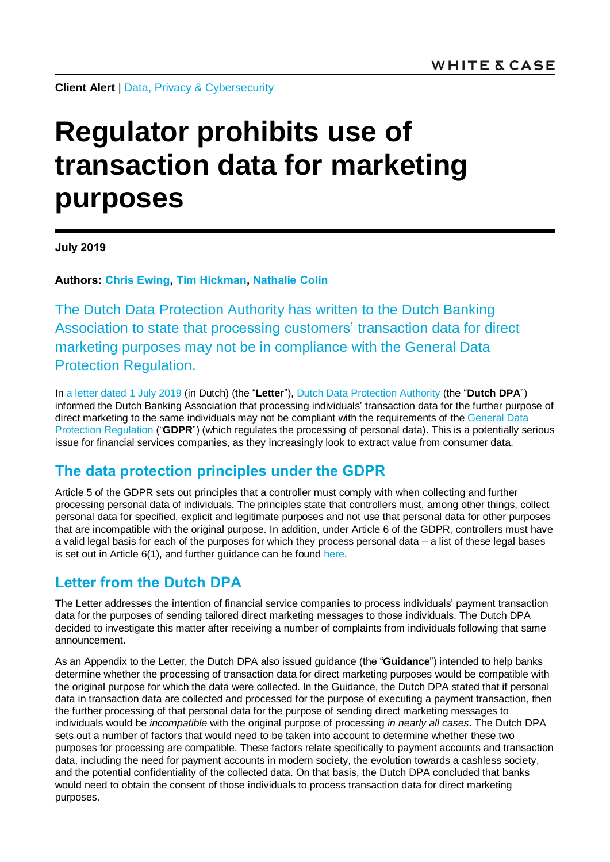**Client Alert** | [Data, Privacy & Cybersecurity](https://www.whitecase.com/law/practices/data-privacy-cybersecurity)

# **Regulator prohibits use of transaction data for marketing purposes**

**July 2019**

**Authors: [Chris Ewing,](https://www.whitecase.com/people/chris-ewing) [Tim Hickman,](https://www.whitecase.com/people/tim-hickman) [Nathalie Colin](https://www.whitecase.com/people/nathalie-colin)**

The Dutch Data Protection Authority has written to the Dutch Banking Association to state that processing customers' transaction data for direct marketing purposes may not be in compliance with the General Data Protection Regulation.

In [a letter dated](https://autoriteitpersoonsgegevens.nl/sites/default/files/atoms/files/compliancebrief_nvb.pdf) 1 July 2019 (in Dutch) (the "**Letter**"), [Dutch Data Protection Authority](https://autoriteitpersoonsgegevens.nl/) (the "**Dutch DPA**") informed the Dutch Banking Association that processing individuals' transaction data for the further purpose of direct marketing to the same individuals may not be compliant with the requirements of the [General Data](https://eur-lex.europa.eu/legal-content/EN/TXT/HTML/?uri=CELEX:32016R0679&from=EN#d1e2161-1-1)  [Protection Regulation](https://eur-lex.europa.eu/legal-content/EN/TXT/HTML/?uri=CELEX:32016R0679&from=EN#d1e2161-1-1) ("**GDPR**") (which regulates the processing of personal data). This is a potentially serious issue for financial services companies, as they increasingly look to extract value from consumer data.

## **The data protection principles under the GDPR**

Article 5 of the GDPR sets out principles that a controller must comply with when collecting and further processing personal data of individuals. The principles state that controllers must, among other things, collect personal data for specified, explicit and legitimate purposes and not use that personal data for other purposes that are incompatible with the original purpose. In addition, under Article 6 of the GDPR, controllers must have a valid legal basis for each of the purposes for which they process personal data – a list of these legal bases is set out in Article 6(1), and further guidance can be found [here.](https://www.whitecase.com/publications/article/chapter-7-lawful-basis-processing-unlocking-eu-general-data-protection)

## **Letter from the Dutch DPA**

The Letter addresses the intention of financial service companies to process individuals' payment transaction data for the purposes of sending tailored direct marketing messages to those individuals. The Dutch DPA decided to investigate this matter after receiving a number of complaints from individuals following that same announcement.

As an Appendix to the Letter, the Dutch DPA also issued guidance (the "**Guidance**") intended to help banks determine whether the processing of transaction data for direct marketing purposes would be compatible with the original purpose for which the data were collected. In the Guidance, the Dutch DPA stated that if personal data in transaction data are collected and processed for the purpose of executing a payment transaction, then the further processing of that personal data for the purpose of sending direct marketing messages to individuals would be *incompatible* with the original purpose of processing *in nearly all cases*. The Dutch DPA sets out a number of factors that would need to be taken into account to determine whether these two purposes for processing are compatible. These factors relate specifically to payment accounts and transaction data, including the need for payment accounts in modern society, the evolution towards a cashless society, and the potential confidentiality of the collected data. On that basis, the Dutch DPA concluded that banks would need to obtain the consent of those individuals to process transaction data for direct marketing purposes.